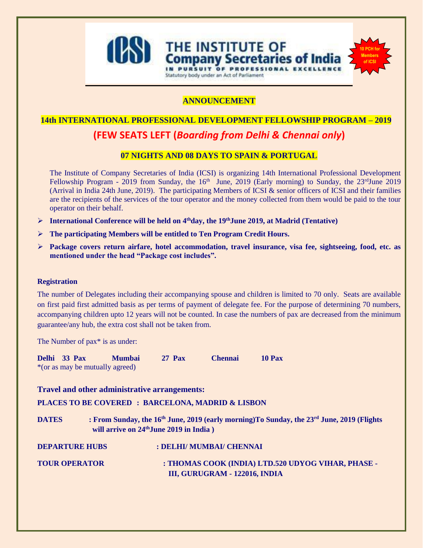

**ANNOUNCEMENT**

Statutory body under an Act of Parliament

THE INSTITUTE OF

URSUIT OF PROFESSIONA

ompany Secretaries of India

**10 PCH for Members of ICSI**

# **14th INTERNATIONAL PROFESSIONAL DEVELOPMENT FELLOWSHIP PROGRAM – 2019**

# **(FEW SEATS LEFT (***Boarding from Delhi & Chennai only***)**

# **07 NIGHTS AND 08 DAYS TO SPAIN & PORTUGAL**

The Institute of Company Secretaries of India (ICSI) is organizing 14th International Professional Development Fellowship Program - 2019 from Sunday, the  $16<sup>th</sup>$  June, 2019 (Early morning) to Sunday, the  $23<sup>rd</sup>$ June 2019 (Arrival in India 24th June, 2019). The participating Members of ICSI & senior officers of ICSI and their families are the recipients of the services of the tour operator and the money collected from them would be paid to the tour operator on their behalf.

- ➢ **International Conference will be held on 4thday, the 19thJune 2019, at Madrid (Tentative)**
- ➢ **The participating Members will be entitled to Ten Program Credit Hours.**
- ➢ **Package covers return airfare, hotel accommodation, travel insurance, visa fee, sightseeing, food, etc. as mentioned under the head "Package cost includes".**

#### **Registration**

The number of Delegates including their accompanying spouse and children is limited to 70 only. Seats are available on first paid first admitted basis as per terms of payment of delegate fee. For the purpose of determining 70 numbers, accompanying children upto 12 years will not be counted. In case the numbers of pax are decreased from the minimum guarantee/any hub, the extra cost shall not be taken from.

The Number of pax<sup>\*</sup> is as under:

| Delhi 33 Pax |                                 | <b>Mumbai</b> | <b>27 Pax</b> | <b>Chennai</b> | <b>10 Pax</b> |
|--------------|---------------------------------|---------------|---------------|----------------|---------------|
|              | *(or as may be mutually agreed) |               |               |                |               |

**Travel and other administrative arrangements:**

**PLACES TO BE COVERED : BARCELONA, MADRID & LISBON**

**DATES : From Sunday, the 16th June, 2019 (early morning)To Sunday, the 23rd June, 2019 (Flights will arrive on 24thJune 2019 in India )**

**DEPARTURE HUBS : DELHI/ MUMBAI/ CHENNAI** 

**TOUR OPERATOR : THOMAS COOK (INDIA) LTD.520 UDYOG VIHAR, PHASE - III, GURUGRAM - 122016, INDIA**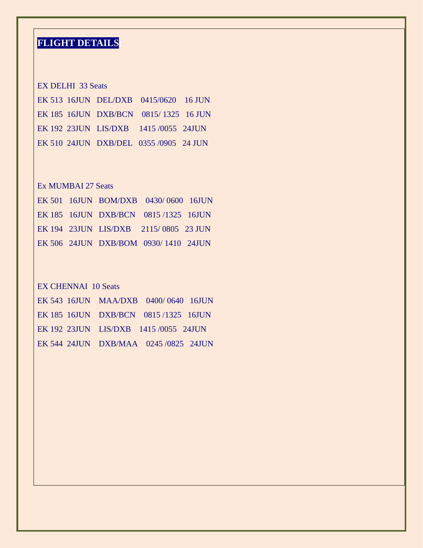# **FLIGHT DETAILS:**

# EX DELHI 33 Seats

|  | EK 513 16JUN DEL/DXB 0415/0620 16 JUN  |  |
|--|----------------------------------------|--|
|  | EK 185 16JUN DXB/BCN 0815/1325 16 JUN  |  |
|  | EK 192 23JUN LIS/DXB 1415 /0055 24JUN  |  |
|  | EK 510 24JUN DXB/DEL 0355 /0905 24 JUN |  |

# Ex MUMBAI 27 Seats

|  | EK 501 16JUN BOM/DXB 0430/0600 16JUN  |  |
|--|---------------------------------------|--|
|  | EK 185 16JUN DXB/BCN 0815/1325 16JUN  |  |
|  | EK 194 23JUN LIS/DXB 2115/0805 23 JUN |  |
|  | EK 506 24JUN DXB/BOM 0930/1410 24JUN  |  |

# EX CHENNAI 10 Seats

|  | EK 543 16JUN MAA/DXB 0400/0640 16JUN  |  |
|--|---------------------------------------|--|
|  | EK 185 16JUN DXB/BCN 0815/1325 16JUN  |  |
|  | EK 192 23JUN LIS/DXB 1415/0055 24JUN  |  |
|  | EK 544 24JUN DXB/MAA 0245 /0825 24JUN |  |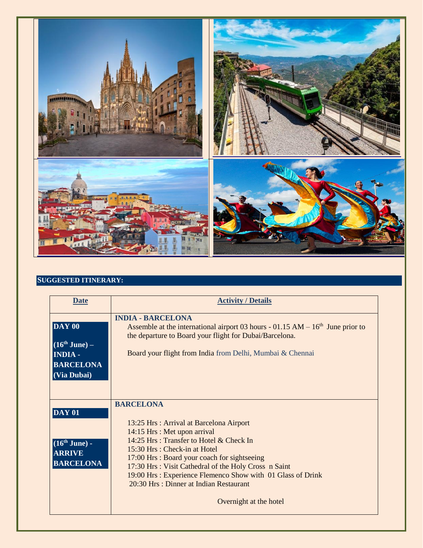

# **SUGGESTED ITINERARY:**

| <b>Date</b>                                                                    | <b>Activity / Details</b>                                                                                                                                                                                                                                                                                                                                                                                            |
|--------------------------------------------------------------------------------|----------------------------------------------------------------------------------------------------------------------------------------------------------------------------------------------------------------------------------------------------------------------------------------------------------------------------------------------------------------------------------------------------------------------|
| DAY 00<br>$(16th$ June) –<br><b>INDIA -</b><br><b>BARCELONA</b><br>(Via Dubai) | <b>INDIA - BARCELONA</b><br>Assemble at the international airport 03 hours - $01.15$ AM $- 16th$ June prior to<br>the departure to Board your flight for Dubai/Barcelona.<br>Board your flight from India from Delhi, Mumbai & Chennai                                                                                                                                                                               |
| <b>DAY 01</b><br>$(16th$ June) -<br><b>ARRIVE</b><br><b>BARCELONA</b>          | <b>BARCELONA</b><br>13:25 Hrs: Arrival at Barcelona Airport<br>14:15 Hrs : Met upon arrival<br>14:25 Hrs: Transfer to Hotel & Check In<br>$15:30$ Hrs : Check-in at Hotel<br>17:00 Hrs: Board your coach for sightseeing<br>17:30 Hrs: Visit Cathedral of the Holy Cross n Saint<br>19:00 Hrs : Experience Flemenco Show with 01 Glass of Drink<br>20:30 Hrs : Dinner at Indian Restaurant<br>Overnight at the hotel |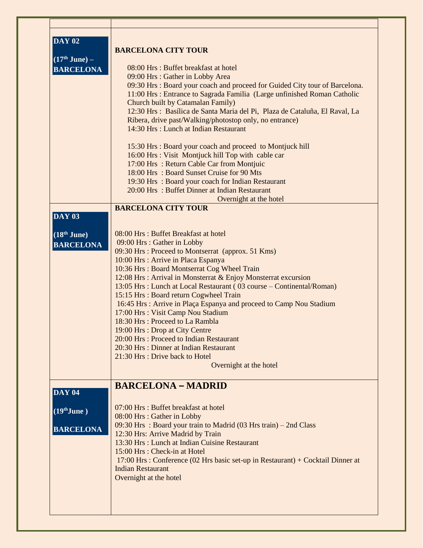| <b>DAY 02</b><br>$(17th June) -$<br><b>BARCELONA</b> | <b>BARCELONA CITY TOUR</b><br>08:00 Hrs: Buffet breakfast at hotel<br>09:00 Hrs: Gather in Lobby Area                                                                                                                                                                       |
|------------------------------------------------------|-----------------------------------------------------------------------------------------------------------------------------------------------------------------------------------------------------------------------------------------------------------------------------|
|                                                      | 09:30 Hrs : Board your coach and proceed for Guided City tour of Barcelona.<br>11:00 Hrs : Entrance to Sagrada Familia (Large unfinished Roman Catholic<br>Church built by Catamalan Family)<br>12:30 Hrs : Basílica de Santa Maria del Pi, Plaza de Cataluña, El Raval, La |
|                                                      | Ribera, drive past/Walking/photostop only, no entrance)<br>14:30 Hrs: Lunch at Indian Restaurant                                                                                                                                                                            |
|                                                      | 15:30 Hrs: Board your coach and proceed to Montjuck hill<br>16:00 Hrs : Visit Montjuck hill Top with cable car                                                                                                                                                              |
|                                                      | 17:00 Hrs: Return Cable Car from Montjuic                                                                                                                                                                                                                                   |
|                                                      | 18:00 Hrs: Board Sunset Cruise for 90 Mts<br>19:30 Hrs : Board your coach for Indian Restaurant                                                                                                                                                                             |
|                                                      | 20:00 Hrs: Buffet Dinner at Indian Restaurant                                                                                                                                                                                                                               |
|                                                      | Overnight at the hotel                                                                                                                                                                                                                                                      |
|                                                      | <b>BARCELONA CITY TOUR</b>                                                                                                                                                                                                                                                  |
| <b>DAY 03</b>                                        |                                                                                                                                                                                                                                                                             |
| $(18th$ June)                                        | 08:00 Hrs: Buffet Breakfast at hotel                                                                                                                                                                                                                                        |
| <b>BARCELONA</b>                                     | 09:00 Hrs: Gather in Lobby<br>09:30 Hrs: Proceed to Montserrat (approx. 51 Kms)                                                                                                                                                                                             |
|                                                      | 10:00 Hrs : Arrive in Placa Espanya                                                                                                                                                                                                                                         |
|                                                      | 10:36 Hrs: Board Montserrat Cog Wheel Train                                                                                                                                                                                                                                 |
|                                                      | 12:08 Hrs : Arrival in Monsterrat & Enjoy Monsterrat excursion                                                                                                                                                                                                              |
|                                                      | 13:05 Hrs : Lunch at Local Restaurant (03 course – Continental/Roman)                                                                                                                                                                                                       |
|                                                      | 15:15 Hrs: Board return Cogwheel Train                                                                                                                                                                                                                                      |
|                                                      | 16:45 Hrs: Arrive in Plaça Espanya and proceed to Camp Nou Stadium                                                                                                                                                                                                          |
|                                                      | 17:00 Hrs : Visit Camp Nou Stadium<br>18:30 Hrs: Proceed to La Rambla                                                                                                                                                                                                       |
|                                                      | 19:00 Hrs: Drop at City Centre                                                                                                                                                                                                                                              |
|                                                      | 20:00 Hrs: Proceed to Indian Restaurant                                                                                                                                                                                                                                     |
|                                                      | 20:30 Hrs : Dinner at Indian Restaurant                                                                                                                                                                                                                                     |
|                                                      | 21:30 Hrs : Drive back to Hotel                                                                                                                                                                                                                                             |
|                                                      | Overnight at the hotel                                                                                                                                                                                                                                                      |
| <b>DAY 04</b>                                        | <b>BARCELONA - MADRID</b>                                                                                                                                                                                                                                                   |
| $(19th$ June)                                        | 07:00 Hrs : Buffet breakfast at hotel                                                                                                                                                                                                                                       |
|                                                      | 08:00 Hrs: Gather in Lobby                                                                                                                                                                                                                                                  |
| <b>BARCELONA</b>                                     | 09:30 Hrs: Board your train to Madrid (03 Hrs train) - 2nd Class                                                                                                                                                                                                            |
|                                                      | 12:30 Hrs: Arrive Madrid by Train                                                                                                                                                                                                                                           |
|                                                      | 13:30 Hrs : Lunch at Indian Cuisine Restaurant<br>15:00 Hrs : Check-in at Hotel                                                                                                                                                                                             |
|                                                      |                                                                                                                                                                                                                                                                             |
|                                                      |                                                                                                                                                                                                                                                                             |
|                                                      | 17:00 Hrs : Conference (02 Hrs basic set-up in Restaurant) + Cocktail Dinner at<br><b>Indian Restaurant</b>                                                                                                                                                                 |
|                                                      | Overnight at the hotel                                                                                                                                                                                                                                                      |
|                                                      |                                                                                                                                                                                                                                                                             |
|                                                      |                                                                                                                                                                                                                                                                             |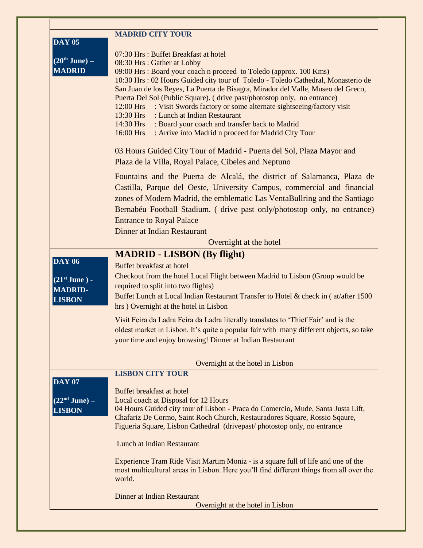|                       | <b>MADRID CITY TOUR</b>                                                                                                         |
|-----------------------|---------------------------------------------------------------------------------------------------------------------------------|
| <b>DAY 05</b>         |                                                                                                                                 |
| $(20th$ June) –       | 07:30 Hrs: Buffet Breakfast at hotel                                                                                            |
| <b>MADRID</b>         | 08:30 Hrs: Gather at Lobby<br>09:00 Hrs : Board your coach n proceed to Toledo (approx. 100 Kms)                                |
|                       | 10:30 Hrs : 02 Hours Guided city tour of Toledo - Toledo Cathedral, Monasterio de                                               |
|                       | San Juan de los Reyes, La Puerta de Bisagra, Mirador del Valle, Museo del Greco,                                                |
|                       | Puerta Del Sol (Public Square). (drive past/photostop only, no entrance)                                                        |
|                       | : Visit Swords factory or some alternate sightseeing/factory visit<br>12:00 Hrs                                                 |
|                       | : Lunch at Indian Restaurant<br>13:30 Hrs                                                                                       |
|                       | : Board your coach and transfer back to Madrid<br>14:30 Hrs<br>: Arrive into Madrid n proceed for Madrid City Tour<br>16:00 Hrs |
|                       |                                                                                                                                 |
|                       | 03 Hours Guided City Tour of Madrid - Puerta del Sol, Plaza Mayor and                                                           |
|                       | Plaza de la Villa, Royal Palace, Cibeles and Neptuno                                                                            |
|                       |                                                                                                                                 |
|                       | Fountains and the Puerta de Alcalá, the district of Salamanca, Plaza de                                                         |
|                       | Castilla, Parque del Oeste, University Campus, commercial and financial                                                         |
|                       | zones of Modern Madrid, the emblematic Las VentaBullring and the Santiago                                                       |
|                       | Bernabéu Football Stadium. (drive past only/photostop only, no entrance)                                                        |
|                       | <b>Entrance to Royal Palace</b>                                                                                                 |
|                       | Dinner at Indian Restaurant                                                                                                     |
|                       | Overnight at the hotel                                                                                                          |
|                       | <b>MADRID - LISBON (By flight)</b>                                                                                              |
| <b>DAY 06</b>         | Buffet breakfast at hotel                                                                                                       |
| $(21^{st}$ June $)$ - | Checkout from the hotel Local Flight between Madrid to Lisbon (Group would be                                                   |
| <b>MADRID-</b>        | required to split into two flights)                                                                                             |
| <b>LISBON</b>         | Buffet Lunch at Local Indian Restaurant Transfer to Hotel & check in (at/after 1500                                             |
|                       | hrs ) Overnight at the hotel in Lisbon                                                                                          |
|                       | Visit Feira da Ladra Feira da Ladra literally translates to 'Thief Fair' and is the                                             |
|                       | oldest market in Lisbon. It's quite a popular fair with many different objects, so take                                         |
|                       | your time and enjoy browsing! Dinner at Indian Restaurant                                                                       |
|                       |                                                                                                                                 |
|                       | Overnight at the hotel in Lisbon                                                                                                |
|                       | <b>LISBON CITY TOUR</b>                                                                                                         |
| <b>DAY 07</b>         |                                                                                                                                 |
|                       | Buffet breakfast at hotel                                                                                                       |
| $(22nd$ June) –       | Local coach at Disposal for 12 Hours<br>04 Hours Guided city tour of Lisbon - Praca do Comercio, Mude, Santa Justa Lift,        |
| <b>LISBON</b>         | Chafariz De Cormo, Saint Roch Church, Restauradores Square, Rossio Sqaure,                                                      |
|                       | Figueria Square, Lisbon Cathedral (drivepast/photostop only, no entrance                                                        |
|                       |                                                                                                                                 |
|                       | Lunch at Indian Restaurant                                                                                                      |
|                       | Experience Tram Ride Visit Martim Moniz - is a square full of life and one of the                                               |
|                       | most multicultural areas in Lisbon. Here you'll find different things from all over the                                         |
|                       | world.                                                                                                                          |
|                       | Dinner at Indian Restaurant                                                                                                     |
|                       | Overnight at the hotel in Lisbon                                                                                                |
|                       |                                                                                                                                 |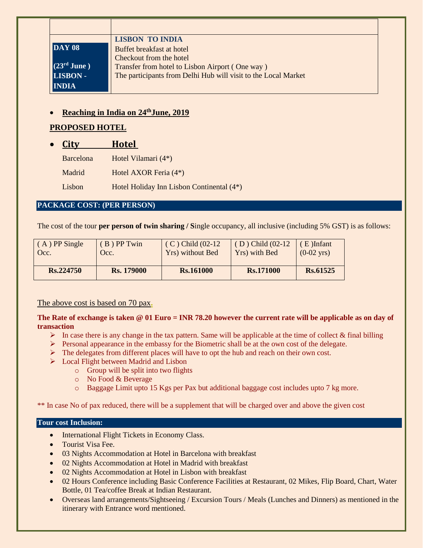| <b>LISBON TO INDIA</b>                                         |
|----------------------------------------------------------------|
| Buffet breakfast at hotel                                      |
| Checkout from the hotel                                        |
| Transfer from hotel to Lisbon Airport (One way)                |
| The participants from Delhi Hub will visit to the Local Market |
|                                                                |
|                                                                |

# • **Reaching in India on 24thJune, 2019**

# **PROPOSED HOTEL**

| <b>City</b> | <b>Hotel</b> |
|-------------|--------------|
|             |              |

| <b>Barcelona</b> | Hotel Vilamari (4*)                       |
|------------------|-------------------------------------------|
| Madrid           | Hotel AXOR Feria (4 <sup>*</sup> )        |
| Lisbon           | Hotel Holiday Inn Lisbon Continental (4*) |

### **PACKAGE COST: (PER PERSON)**

The cost of the tour **per person of twin sharing / S**ingle occupancy, all inclusive (including 5% GST) is as follows:

| $(A)$ PP Single | $(B)$ PP Twin     | $(C)$ Child $(02-12)$ | $(D)$ Child $(02-12)$ | $(E)$ Infant         |
|-----------------|-------------------|-----------------------|-----------------------|----------------------|
| Occ.            | Occ.              | Yrs) without Bed      | Yrs) with Bed         | $(0-02 \text{ yrs})$ |
| Rs.224750       | <b>Rs.</b> 179000 | <b>Rs.161000</b>      | Rs.171000             | Rs.61525             |

The above cost is based on 70 pax**.**

**The Rate of exchange is taken @ 01 Euro = INR 78.20 however the current rate will be applicable as on day of transaction**

- $\triangleright$  In case there is any change in the tax pattern. Same will be applicable at the time of collect & final billing
- $\triangleright$  Personal appearance in the embassy for the Biometric shall be at the own cost of the delegate.
- $\triangleright$  The delegates from different places will have to opt the hub and reach on their own cost.
- ➢ Local Flight between Madrid and Lisbon
	- o Group will be split into two flights
	- o No Food & Beverage
	- o Baggage Limit upto 15 Kgs per Pax but additional baggage cost includes upto 7 kg more.

\*\* In case No of pax reduced, there will be a supplement that will be charged over and above the given cost

#### **Tour cost Inclusion:**

- International Flight Tickets in Economy Class.
- Tourist Visa Fee.
- 03 Nights Accommodation at Hotel in Barcelona with breakfast
- 02 Nights Accommodation at Hotel in Madrid with breakfast
- 02 Nights Accommodation at Hotel in Lisbon with breakfast
- 02 Hours Conference including Basic Conference Facilities at Restaurant, 02 Mikes, Flip Board, Chart, Water Bottle, 01 Tea/coffee Break at Indian Restaurant.
- Overseas land arrangements/Sightseeing / Excursion Tours / Meals (Lunches and Dinners) as mentioned in the itinerary with Entrance word mentioned.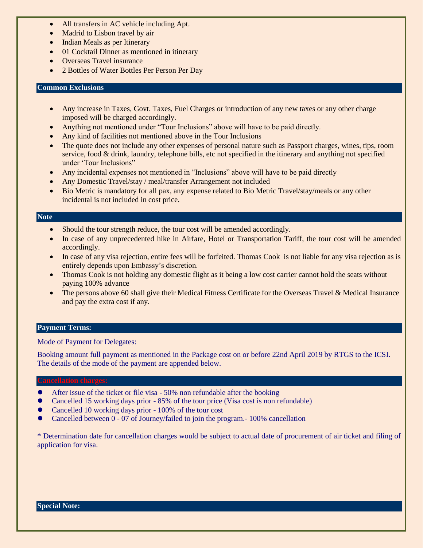- All transfers in AC vehicle including Apt.
- Madrid to Lisbon travel by air
- Indian Meals as per Itinerary
- 01 Cocktail Dinner as mentioned in itinerary
- Overseas Travel insurance
- 2 Bottles of Water Bottles Per Person Per Day

#### **Common Exclusions**

- Any increase in Taxes, Govt. Taxes, Fuel Charges or introduction of any new taxes or any other charge imposed will be charged accordingly.
- Anything not mentioned under "Tour Inclusions" above will have to be paid directly.
- Any kind of facilities not mentioned above in the Tour Inclusions
- The quote does not include any other expenses of personal nature such as Passport charges, wines, tips, room service, food & drink, laundry, telephone bills, etc not specified in the itinerary and anything not specified under 'Tour Inclusions"
- Any incidental expenses not mentioned in "Inclusions" above will have to be paid directly
- Any Domestic Travel/stay / meal/transfer Arrangement not included
- Bio Metric is mandatory for all pax, any expense related to Bio Metric Travel/stay/meals or any other incidental is not included in cost price.

#### **Note**

- Should the tour strength reduce, the tour cost will be amended accordingly.
- In case of any unprecedented hike in Airfare, Hotel or Transportation Tariff, the tour cost will be amended accordingly.
- In case of any visa rejection, entire fees will be forfeited. Thomas Cook is not liable for any visa rejection as is entirely depends upon Embassy's discretion.
- Thomas Cook is not holding any domestic flight as it being a low cost carrier cannot hold the seats without paying 100% advance
- The persons above 60 shall give their Medical Fitness Certificate for the Overseas Travel & Medical Insurance and pay the extra cost if any.

#### **Payment Terms:**

Mode of Payment for Delegates:

Booking amount full payment as mentioned in the Package cost on or before 22nd April 2019 by RTGS to the ICSI. The details of the mode of the payment are appended below.

- ⚫ After issue of the ticket or file visa 50% non refundable after the booking
- ⚫ Cancelled 15 working days prior 85% of the tour price (Visa cost is non refundable)
- ⚫ Cancelled 10 working days prior 100% of the tour cost
- ⚫ Cancelled between 0 07 of Journey/failed to join the program.- 100% cancellation

\* Determination date for cancellation charges would be subject to actual date of procurement of air ticket and filing of application for visa.

#### **Special Note:**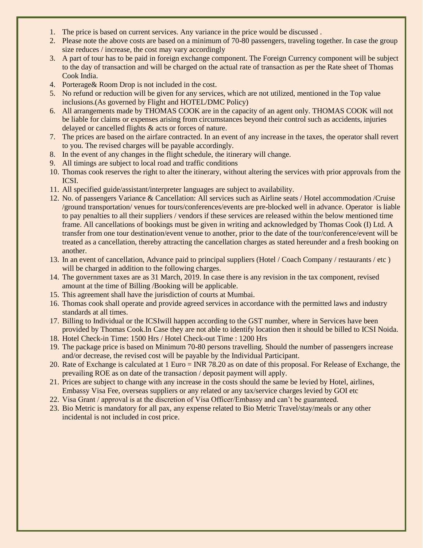- 1. The price is based on current services. Any variance in the price would be discussed .
- 2. Please note the above costs are based on a minimum of 70-80 passengers, traveling together. In case the group size reduces / increase, the cost may vary accordingly
- 3. A part of tour has to be paid in foreign exchange component. The Foreign Currency component will be subject to the day of transaction and will be charged on the actual rate of transaction as per the Rate sheet of Thomas Cook India.
- 4. Porterage& Room Drop is not included in the cost.
- 5. No refund or reduction will be given for any services, which are not utilized, mentioned in the Top value inclusions.(As governed by Flight and HOTEL/DMC Policy)
- 6. All arrangements made by THOMAS COOK are in the capacity of an agent only. THOMAS COOK will not be liable for claims or expenses arising from circumstances beyond their control such as accidents, injuries delayed or cancelled flights & acts or forces of nature.
- 7. The prices are based on the airfare contracted. In an event of any increase in the taxes, the operator shall revert to you. The revised charges will be payable accordingly.
- 8. In the event of any changes in the flight schedule, the itinerary will change.
- 9. All timings are subject to local road and traffic conditions
- 10. Thomas cook reserves the right to alter the itinerary, without altering the services with prior approvals from the ICSI.
- 11. All specified guide/assistant/interpreter languages are subject to availability.
- 12. No. of passengers Variance & Cancellation: All services such as Airline seats / Hotel accommodation /Cruise /ground transportation/ venues for tours/conferences/events are pre-blocked well in advance. Operator is liable to pay penalties to all their suppliers / vendors if these services are released within the below mentioned time frame. All cancellations of bookings must be given in writing and acknowledged by Thomas Cook (I) Ltd. A transfer from one tour destination/event venue to another, prior to the date of the tour/conference/event will be treated as a cancellation, thereby attracting the cancellation charges as stated hereunder and a fresh booking on another.
- 13. In an event of cancellation, Advance paid to principal suppliers (Hotel / Coach Company / restaurants / etc ) will be charged in addition to the following charges.
- 14. The government taxes are as 31 March, 2019. In case there is any revision in the tax component, revised amount at the time of Billing /Booking will be applicable.
- 15. This agreement shall have the jurisdiction of courts at Mumbai.
- 16. Thomas cook shall operate and provide agreed services in accordance with the permitted laws and industry standards at all times.
- 17. Billing to Individual or the ICSIwill happen according to the GST number, where in Services have been provided by Thomas Cook.In Case they are not able to identify location then it should be billed to ICSI Noida.
- 18. Hotel Check-in Time: 1500 Hrs / Hotel Check-out Time : 1200 Hrs
- 19. The package price is based on Minimum 70-80 persons travelling. Should the number of passengers increase and/or decrease, the revised cost will be payable by the Individual Participant.
- 20. Rate of Exchange is calculated at 1 Euro = INR 78.20 as on date of this proposal. For Release of Exchange, the prevailing ROE as on date of the transaction / deposit payment will apply.
- 21. Prices are subject to change with any increase in the costs should the same be levied by Hotel, airlines, Embassy Visa Fee, overseas suppliers or any related or any tax/service charges levied by GOI etc
- 22. Visa Grant / approval is at the discretion of Visa Officer/Embassy and can't be guaranteed.
- 23. Bio Metric is mandatory for all pax, any expense related to Bio Metric Travel/stay/meals or any other incidental is not included in cost price.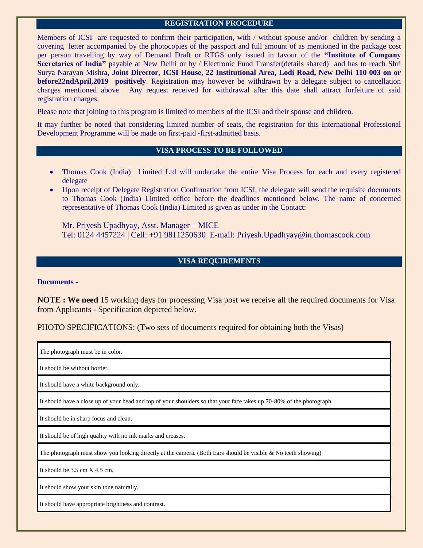#### **REGISTRATION PROCEDURE**

Members of ICSI are requested to confirm their participation, with / without spouse and/or children by sending a covering letter accompanied by the photocopies of the passport and full amount of as mentioned in the package cost per person travelling by way of Demand Draft or RTGS only issued in favour of the **"Institute of Company Secretaries of India"** payable at New Delhi or by / Electronic Fund Transfer(details shared) and has to reach Shri Surya Narayan Mishra**, Joint Director, ICSI House, 22 Institutional Area, Lodi Road, New Delhi 110 003 on or before22ndApril,2019 positively**. Registration may however be withdrawn by a delegate subject to cancellation charges mentioned above. Any request received for withdrawal after this date shall attract forfeiture of said registration charges.

Please note that joining to this program is limited to members of the ICSI and their spouse and children.

It may further be noted that considering limited number of seats, the registration for this International Professional Development Programme will be made on first-paid -first-admitted basis.

#### **VISA PROCESS TO BE FOLLOWED**

- Thomas Cook (India) Limited Ltd will undertake the entire Visa Process for each and every registered delegate
- Upon receipt of Delegate Registration Confirmation from ICSI, the delegate will send the requisite documents to Thomas Cook (India) Limited office before the deadlines mentioned below. The name of concerned representative of Thomas Cook (India) Limited is given as under in the Contact:

Mr. Priyesh Upadhyay, Asst. Manager – MICE Tel: 0124 4457224 | Cell: +91 9811250630 E-mail: Priyesh.Upadhyay@in.thomascook.com

#### **VISA REQUIREMENTS**

#### **Documents -**

**NOTE : We need** 15 working days for processing Visa post we receive all the required documents for Visa from Applicants - Specification depicted below.

PHOTO SPECIFICATIONS: (Two sets of documents required for obtaining both the Visas)

The photograph must be in color.

It should be without border.

It should have a white background only.

It should have a close up of your head and top of your shoulders so that your face takes up 70-80% of the photograph.

It should be in sharp focus and clean.

It should be of high quality with no ink marks and creases.

The photograph must show you looking directly at the camera. (Both Ears should be visible  $\&$  No teeth showing)

It should be  $3.5 \text{ cm} \times 4.5 \text{ cm}$ .

It should show your skin tone naturally.

It should have appropriate brightness and contrast.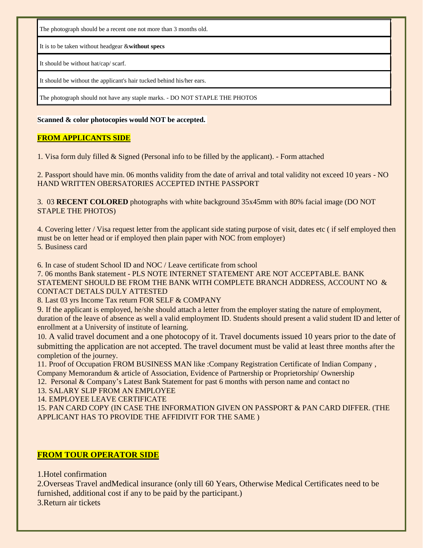The photograph should be a recent one not more than 3 months old.

It is to be taken without headgear &**without specs** 

It should be without hat/cap/ scarf.

It should be without the applicant's hair tucked behind his/her ears.

The photograph should not have any staple marks. - DO NOT STAPLE THE PHOTOS

#### **Scanned & color photocopies would NOT be accepted.**

#### **FROM APPLICANTS SIDE**

1. Visa form duly filled & Signed (Personal info to be filled by the applicant). - Form attached

2. Passport should have min. 06 months validity from the date of arrival and total validity not exceed 10 years - NO HAND WRITTEN OBERSATORIES ACCEPTED INTHE PASSPORT

3. 03 **RECENT COLORED** photographs with white background 35x45mm with 80% facial image (DO NOT STAPLE THE PHOTOS)

4. Covering letter / Visa request letter from the applicant side stating purpose of visit, dates etc ( if self employed then must be on letter head or if employed then plain paper with NOC from employer) 5. Business card

6. In case of student School ID and NOC / Leave certificate from school

7. 06 months Bank statement - PLS NOTE INTERNET STATEMENT ARE NOT ACCEPTABLE. BANK STATEMENT SHOULD BE FROM THE BANK WITH COMPLETE BRANCH ADDRESS, ACCOUNT NO  $\&$ CONTACT DETALS DULY ATTESTED

8. Last 03 yrs Income Tax return FOR SELF & COMPANY

9. If the applicant is employed, he/she should attach a letter from the employer stating the nature of employment, duration of the leave of absence as well a valid employment ID. Students should present a valid student ID and letter of enrollment at a University of institute of learning.

10. A valid travel document and a one photocopy of it. Travel documents issued 10 years prior to the date of submitting the application are not accepted. The travel document must be valid at least three months after the completion of the journey.

11. Proof of Occupation FROM BUSINESS MAN like :Company Registration Certificate of Indian Company , Company Memorandum & article of Association, Evidence of Partnership or Proprietorship/ Ownership

12. Personal & Company's Latest Bank Statement for past 6 months with person name and contact no

13. SALARY SLIP FROM AN EMPLOYEE

14. EMPLOYEE LEAVE CERTIFICATE

15. PAN CARD COPY (IN CASE THE INFORMATION GIVEN ON PASSPORT & PAN CARD DIFFER. (THE APPLICANT HAS TO PROVIDE THE AFFIDIVIT FOR THE SAME )

## **FROM TOUR OPERATOR SIDE**

1.Hotel confirmation

2.Overseas Travel andMedical insurance (only till 60 Years, Otherwise Medical Certificates need to be furnished, additional cost if any to be paid by the participant.) 3.Return air tickets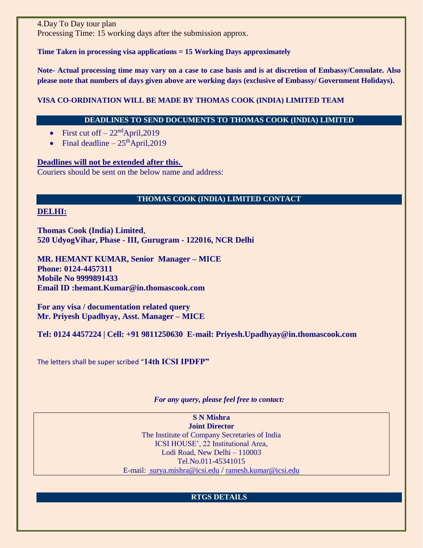4.Day To Day tour plan Processing Time: 15 working days after the submission approx.

#### **Time Taken in processing visa applications = 15 Working Days approximately**

**Note- Actual processing time may vary on a case to case basis and is at discretion of Embassy/Consulate. Also please note that numbers of days given above are working days (exclusive of Embassy/ Government Holidays).**

#### **VISA CO-ORDINATION WILL BE MADE BY THOMAS COOK (INDIA) LIMITED TEAM**

#### **DEADLINES TO SEND DOCUMENTS TO THOMAS COOK (INDIA) LIMITED**

- First cut of  $f 22<sup>nd</sup>$ April, 2019
- Final deadline  $-25<sup>th</sup>$ April, 2019

#### **Deadlines will not be extended after this.**

Couriers should be sent on the below name and address:

#### **THOMAS COOK (INDIA) LIMITED CONTACT**

#### **DELHI:**

**Thomas Cook (India) Limited**, **520 UdyogVihar, Phase - III, Gurugram - 122016, NCR Delhi**

**MR. HEMANT KUMAR, Senior Manager – MICE Phone: 0124-4457311 Mobile No 9999891433 Email ID :hemant.Kumar@in.thomascook.com**

**For any visa / documentation related query Mr. Priyesh Upadhyay, Asst. Manager – MICE**

**Tel: 0124 4457224 | Cell: +91 9811250630 E-mail: Priyesh.Upadhyay@in.thomascook.com**

The letters shall be super scribed "**14th ICSI IPDFP"**

*For any query, please feel free to contact:*

**S N Mishra Joint Director**  The Institute of Company Secretaries of India ICSI HOUSE', 22 Institutional Area, Lodi Road, New Delhi – 110003 Tel.No.011-45341015 E-mail: [surya.mishra@icsi.edu](mailto:%20surya.mishra@icsi.edu) / [ramesh.kumar@icsi.edu](mailto:abhishek.kumar@icsi.edu)

## **RTGS DETAILS**